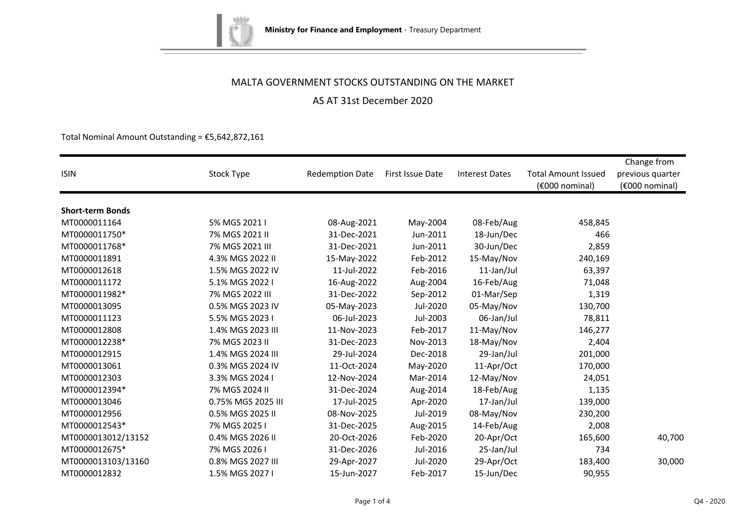

AS AT 31st December 2020

Total Nominal Amount Outstanding =  $£5,642,872,161$ 

|                         |                    |                        |                  |                       |                            | Change from      |
|-------------------------|--------------------|------------------------|------------------|-----------------------|----------------------------|------------------|
| <b>ISIN</b>             | Stock Type         | <b>Redemption Date</b> | First Issue Date | <b>Interest Dates</b> | <b>Total Amount Issued</b> | previous quarter |
|                         |                    |                        |                  |                       | (€000 nominal)             | (€000 nominal)   |
|                         |                    |                        |                  |                       |                            |                  |
| <b>Short-term Bonds</b> |                    |                        |                  |                       |                            |                  |
| MT0000011164            | 5% MGS 2021 I      | 08-Aug-2021            | May-2004         | 08-Feb/Aug            | 458,845                    |                  |
| MT0000011750*           | 7% MGS 2021 II     | 31-Dec-2021            | Jun-2011         | 18-Jun/Dec            | 466                        |                  |
| MT0000011768*           | 7% MGS 2021 III    | 31-Dec-2021            | Jun-2011         | 30-Jun/Dec            | 2,859                      |                  |
| MT0000011891            | 4.3% MGS 2022 II   | 15-May-2022            | Feb-2012         | 15-May/Nov            | 240,169                    |                  |
| MT0000012618            | 1.5% MGS 2022 IV   | 11-Jul-2022            | Feb-2016         | 11-Jan/Jul            | 63,397                     |                  |
| MT0000011172            | 5.1% MGS 2022 I    | 16-Aug-2022            | Aug-2004         | 16-Feb/Aug            | 71,048                     |                  |
| MT0000011982*           | 7% MGS 2022 III    | 31-Dec-2022            | Sep-2012         | 01-Mar/Sep            | 1,319                      |                  |
| MT0000013095            | 0.5% MGS 2023 IV   | 05-May-2023            | Jul-2020         | 05-May/Nov            | 130,700                    |                  |
| MT0000011123            | 5.5% MGS 2023 I    | 06-Jul-2023            | Jul-2003         | 06-Jan/Jul            | 78,811                     |                  |
| MT0000012808            | 1.4% MGS 2023 III  | 11-Nov-2023            | Feb-2017         | 11-May/Nov            | 146,277                    |                  |
| MT0000012238*           | 7% MGS 2023 II     | 31-Dec-2023            | Nov-2013         | 18-May/Nov            | 2,404                      |                  |
| MT0000012915            | 1.4% MGS 2024 III  | 29-Jul-2024            | Dec-2018         | 29-Jan/Jul            | 201,000                    |                  |
| MT0000013061            | 0.3% MGS 2024 IV   | 11-Oct-2024            | May-2020         | 11-Apr/Oct            | 170,000                    |                  |
| MT0000012303            | 3.3% MGS 2024 I    | 12-Nov-2024            | Mar-2014         | 12-May/Nov            | 24,051                     |                  |
| MT0000012394*           | 7% MGS 2024 II     | 31-Dec-2024            | Aug-2014         | 18-Feb/Aug            | 1,135                      |                  |
| MT0000013046            | 0.75% MGS 2025 III | 17-Jul-2025            | Apr-2020         | 17-Jan/Jul            | 139,000                    |                  |
| MT0000012956            | 0.5% MGS 2025 II   | 08-Nov-2025            | Jul-2019         | 08-May/Nov            | 230,200                    |                  |
| MT0000012543*           | 7% MGS 2025 I      | 31-Dec-2025            | Aug-2015         | 14-Feb/Aug            | 2,008                      |                  |
| MT0000013012/13152      | 0.4% MGS 2026 II   | 20-Oct-2026            | Feb-2020         | 20-Apr/Oct            | 165,600                    | 40,700           |
| MT0000012675*           | 7% MGS 2026 I      | 31-Dec-2026            | Jul-2016         | 25-Jan/Jul            | 734                        |                  |
| MT0000013103/13160      | 0.8% MGS 2027 III  | 29-Apr-2027            | Jul-2020         | 29-Apr/Oct            | 183,400                    | 30,000           |
| MT0000012832            | 1.5% MGS 2027 I    | 15-Jun-2027            | Feb-2017         | 15-Jun/Dec            | 90,955                     |                  |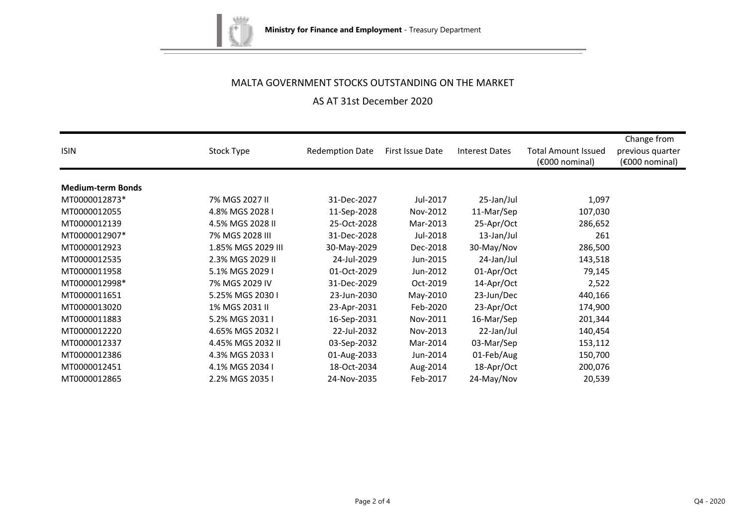

## AS AT 31st December 2020

| <b>ISIN</b>              | Stock Type         | <b>Redemption Date</b> | First Issue Date | <b>Interest Dates</b> | <b>Total Amount Issued</b><br>(€000 nominal) | Change from<br>previous quarter<br>(€000 nominal) |
|--------------------------|--------------------|------------------------|------------------|-----------------------|----------------------------------------------|---------------------------------------------------|
|                          |                    |                        |                  |                       |                                              |                                                   |
| <b>Medium-term Bonds</b> |                    |                        |                  |                       |                                              |                                                   |
| MT0000012873*            | 7% MGS 2027 II     | 31-Dec-2027            | Jul-2017         | 25-Jan/Jul            | 1,097                                        |                                                   |
| MT0000012055             | 4.8% MGS 2028 I    | 11-Sep-2028            | Nov-2012         | 11-Mar/Sep            | 107,030                                      |                                                   |
| MT0000012139             | 4.5% MGS 2028 II   | 25-Oct-2028            | Mar-2013         | 25-Apr/Oct            | 286,652                                      |                                                   |
| MT0000012907*            | 7% MGS 2028 III    | 31-Dec-2028            | Jul-2018         | 13-Jan/Jul            | 261                                          |                                                   |
| MT0000012923             | 1.85% MGS 2029 III | 30-May-2029            | Dec-2018         | 30-May/Nov            | 286,500                                      |                                                   |
| MT0000012535             | 2.3% MGS 2029 II   | 24-Jul-2029            | Jun-2015         | 24-Jan/Jul            | 143,518                                      |                                                   |
| MT0000011958             | 5.1% MGS 2029 I    | 01-Oct-2029            | Jun-2012         | 01-Apr/Oct            | 79,145                                       |                                                   |
| MT0000012998*            | 7% MGS 2029 IV     | 31-Dec-2029            | Oct-2019         | 14-Apr/Oct            | 2,522                                        |                                                   |
| MT0000011651             | 5.25% MGS 2030 I   | 23-Jun-2030            | May-2010         | 23-Jun/Dec            | 440,166                                      |                                                   |
| MT0000013020             | 1% MGS 2031 II     | 23-Apr-2031            | Feb-2020         | 23-Apr/Oct            | 174,900                                      |                                                   |
| MT0000011883             | 5.2% MGS 2031 I    | 16-Sep-2031            | Nov-2011         | 16-Mar/Sep            | 201,344                                      |                                                   |
| MT0000012220             | 4.65% MGS 2032 I   | 22-Jul-2032            | Nov-2013         | 22-Jan/Jul            | 140,454                                      |                                                   |
| MT0000012337             | 4.45% MGS 2032 II  | 03-Sep-2032            | Mar-2014         | 03-Mar/Sep            | 153,112                                      |                                                   |
| MT0000012386             | 4.3% MGS 2033 I    | 01-Aug-2033            | Jun-2014         | 01-Feb/Aug            | 150,700                                      |                                                   |
| MT0000012451             | 4.1% MGS 2034 I    | 18-Oct-2034            | Aug-2014         | 18-Apr/Oct            | 200,076                                      |                                                   |
| MT0000012865             | 2.2% MGS 2035 I    | 24-Nov-2035            | Feb-2017         | 24-May/Nov            | 20,539                                       |                                                   |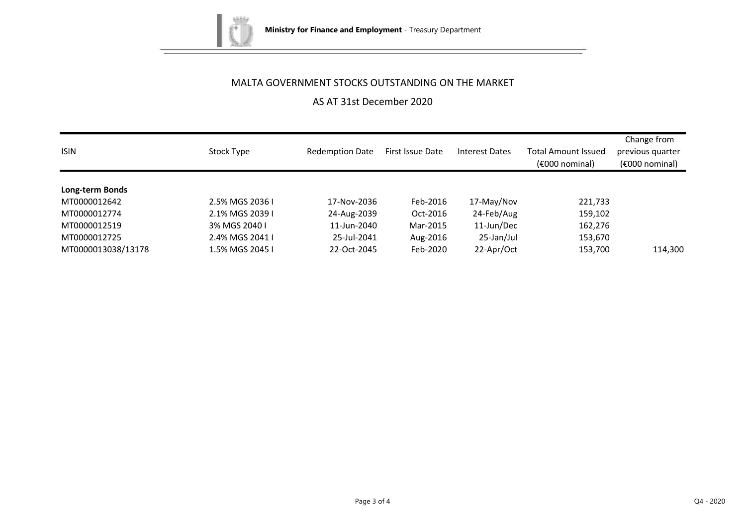

AS AT 31st December 2020

| <b>ISIN</b>        | Stock Type      | <b>Redemption Date</b> | First Issue Date | Interest Dates | <b>Total Amount Issued</b><br>$(6000)$ nominal) | Change from<br>previous quarter<br>$(6000)$ nominal) |
|--------------------|-----------------|------------------------|------------------|----------------|-------------------------------------------------|------------------------------------------------------|
| Long-term Bonds    |                 |                        |                  |                |                                                 |                                                      |
| MT0000012642       | 2.5% MGS 2036 I | 17-Nov-2036            | Feb-2016         | 17-May/Nov     | 221,733                                         |                                                      |
| MT0000012774       | 2.1% MGS 2039 I | 24-Aug-2039            | Oct-2016         | 24-Feb/Aug     | 159,102                                         |                                                      |
| MT0000012519       | 3% MGS 2040 I   | 11-Jun-2040            | Mar-2015         | 11-Jun/Dec     | 162,276                                         |                                                      |
| MT0000012725       | 2.4% MGS 2041 I | 25-Jul-2041            | Aug-2016         | 25-Jan/Jul     | 153,670                                         |                                                      |
| MT0000013038/13178 | 1.5% MGS 2045 I | 22-Oct-2045            | Feb-2020         | 22-Apr/Oct     | 153,700                                         | 114,300                                              |